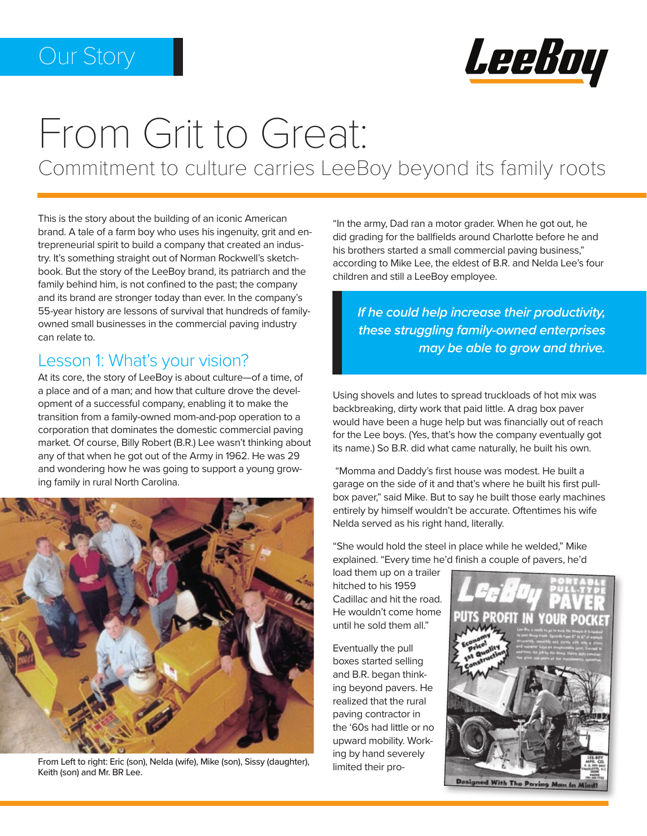

# From Grit to Great:

Commitment to culture carries LeeBoy beyond its family roots

This is the story about the building of an iconic American brand. A tale of a farm boy who uses his ingenuity, grit and entrepreneurial spirit to build a company that created an industry. It's something straight out of Norman Rockwell's sketchbook. But the story of the LeeBoy brand, its patriarch and the family behind him, is not confined to the past; the company and its brand are stronger today than ever. In the company's 55-year history are lessons of survival that hundreds of familyowned small businesses in the commercial paving industry can relate to.

## Lesson 1: What's your vision?

At its core, the story of LeeBoy is about culture—of a time, of a place and of a man; and how that culture drove the development of a successful company, enabling it to make the transition from a family-owned mom-and-pop operation to a corporation that dominates the domestic commercial paving market. Of course, Billy Robert (B.R.) Lee wasn't thinking about any of that when he got out of the Army in 1962. He was 29 and wondering how he was going to support a young growing family in rural North Carolina.



From Left to right: Eric (son), Nelda (wife), Mike (son), Sissy (daughter), Keith (son) and Mr. BR Lee.

"In the army, Dad ran a motor grader. When he got out, he did grading for the ballfields around Charlotte before he and his brothers started a small commercial paving business," according to Mike Lee, the eldest of B.R. and Nelda Lee's four children and still a LeeBoy employee.

*If he could help increase their productivity, these struggling family-owned enterprises may be able to grow and thrive.*

Using shovels and lutes to spread truckloads of hot mix was backbreaking, dirty work that paid little. A drag box paver would have been a huge help but was financially out of reach for the Lee boys. (Yes, that's how the company eventually got its name.) So B.R. did what came naturally, he built his own.

 "Momma and Daddy's first house was modest. He built a garage on the side of it and that's where he built his first pullbox paver," said Mike. But to say he built those early machines entirely by himself wouldn't be accurate. Oftentimes his wife Nelda served as his right hand, literally.

"She would hold the steel in place while he welded," Mike explained. "Every time he'd finish a couple of pavers, he'd

load them up on a trailer hitched to his 1959 Cadillac and hit the road. He wouldn't come home until he sold them all."

Eventually the pull boxes started selling and B.R. began thinking beyond pavers. He realized that the rural paving contractor in the '60s had little or no upward mobility. Working by hand severely limited their pro-

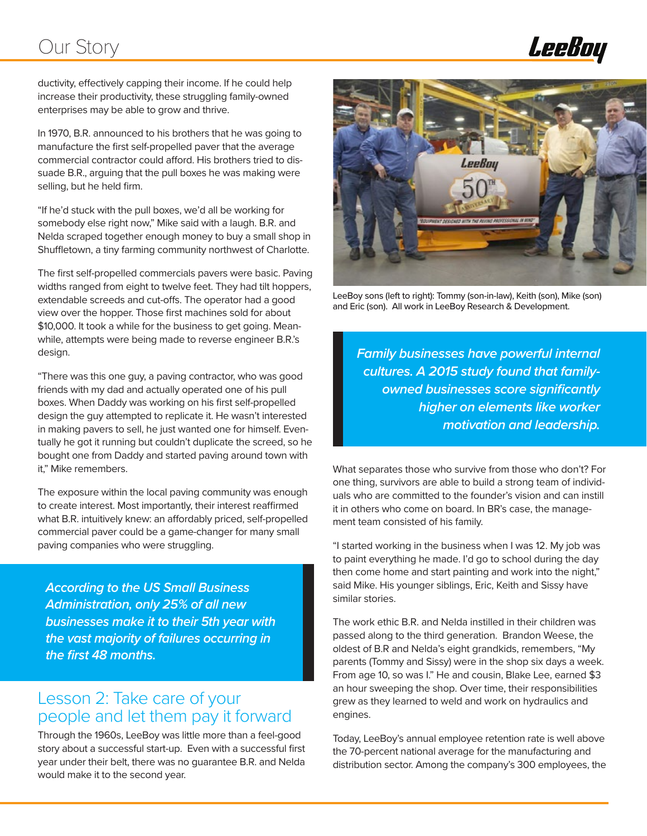# Our Story



ductivity, effectively capping their income. If he could help increase their productivity, these struggling family-owned enterprises may be able to grow and thrive.

In 1970, B.R. announced to his brothers that he was going to manufacture the first self-propelled paver that the average commercial contractor could afford. His brothers tried to dissuade B.R., arguing that the pull boxes he was making were selling, but he held firm.

"If he'd stuck with the pull boxes, we'd all be working for somebody else right now," Mike said with a laugh. B.R. and Nelda scraped together enough money to buy a small shop in Shuffletown, a tiny farming community northwest of Charlotte.

The first self-propelled commercials pavers were basic. Paving widths ranged from eight to twelve feet. They had tilt hoppers, extendable screeds and cut-offs. The operator had a good view over the hopper. Those first machines sold for about \$10,000. It took a while for the business to get going. Meanwhile, attempts were being made to reverse engineer B.R.'s design.

"There was this one guy, a paving contractor, who was good friends with my dad and actually operated one of his pull boxes. When Daddy was working on his first self-propelled design the guy attempted to replicate it. He wasn't interested in making pavers to sell, he just wanted one for himself. Eventually he got it running but couldn't duplicate the screed, so he bought one from Daddy and started paving around town with it," Mike remembers.

The exposure within the local paving community was enough to create interest. Most importantly, their interest reaffirmed what B.R. intuitively knew: an affordably priced, self-propelled commercial paver could be a game-changer for many small paving companies who were struggling.

*According to the US Small Business Administration, only 25% of all new businesses make it to their 5th year with the vast majority of failures occurring in the first 48 months.* 

### Lesson 2: Take care of your people and let them pay it forward

Through the 1960s, LeeBoy was little more than a feel-good story about a successful start-up. Even with a successful first year under their belt, there was no guarantee B.R. and Nelda would make it to the second year.



LeeBoy sons (left to right): Tommy (son-in-law), Keith (son), Mike (son) and Eric (son). All work in LeeBoy Research & Development.

*Family businesses have powerful internal cultures. A 2015 study found that familyowned businesses score significantly higher on elements like worker motivation and leadership.*

What separates those who survive from those who don't? For one thing, survivors are able to build a strong team of individuals who are committed to the founder's vision and can instill it in others who come on board. In BR's case, the management team consisted of his family.

"I started working in the business when I was 12. My job was to paint everything he made. I'd go to school during the day then come home and start painting and work into the night," said Mike. His younger siblings, Eric, Keith and Sissy have similar stories.

The work ethic B.R. and Nelda instilled in their children was passed along to the third generation. Brandon Weese, the oldest of B.R and Nelda's eight grandkids, remembers, "My parents (Tommy and Sissy) were in the shop six days a week. From age 10, so was I." He and cousin, Blake Lee, earned \$3 an hour sweeping the shop. Over time, their responsibilities grew as they learned to weld and work on hydraulics and engines.

Today, LeeBoy's annual employee retention rate is well above the 70-percent national average for the manufacturing and distribution sector. Among the company's 300 employees, the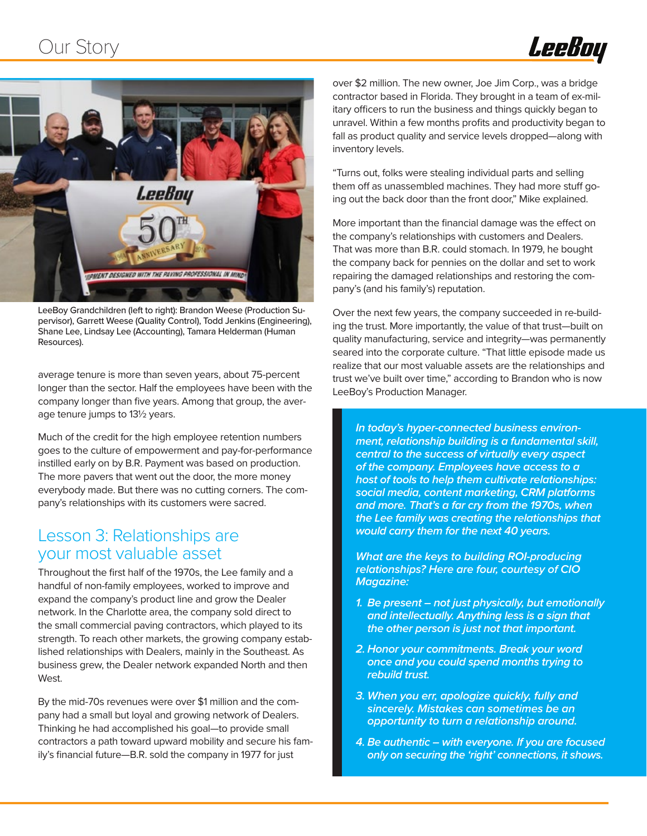



LeeBoy Grandchildren (left to right): Brandon Weese (Production Supervisor), Garrett Weese (Quality Control), Todd Jenkins (Engineering), Shane Lee, Lindsay Lee (Accounting), Tamara Helderman (Human Resources).

average tenure is more than seven years, about 75-percent longer than the sector. Half the employees have been with the company longer than five years. Among that group, the average tenure jumps to 13½ years.

Much of the credit for the high employee retention numbers goes to the culture of empowerment and pay-for-performance instilled early on by B.R. Payment was based on production. The more pavers that went out the door, the more money everybody made. But there was no cutting corners. The company's relationships with its customers were sacred.

#### Lesson 3: Relationships are your most valuable asset

Throughout the first half of the 1970s, the Lee family and a handful of non-family employees, worked to improve and expand the company's product line and grow the Dealer network. In the Charlotte area, the company sold direct to the small commercial paving contractors, which played to its strength. To reach other markets, the growing company established relationships with Dealers, mainly in the Southeast. As business grew, the Dealer network expanded North and then West.

By the mid-70s revenues were over \$1 million and the company had a small but loyal and growing network of Dealers. Thinking he had accomplished his goal—to provide small contractors a path toward upward mobility and secure his family's financial future—B.R. sold the company in 1977 for just

over \$2 million. The new owner, Joe Jim Corp., was a bridge contractor based in Florida. They brought in a team of ex-military officers to run the business and things quickly began to unravel. Within a few months profits and productivity began to fall as product quality and service levels dropped—along with inventory levels.

"Turns out, folks were stealing individual parts and selling them off as unassembled machines. They had more stuff going out the back door than the front door," Mike explained.

More important than the financial damage was the effect on the company's relationships with customers and Dealers. That was more than B.R. could stomach. In 1979, he bought the company back for pennies on the dollar and set to work repairing the damaged relationships and restoring the company's (and his family's) reputation.

Over the next few years, the company succeeded in re-building the trust. More importantly, the value of that trust—built on quality manufacturing, service and integrity—was permanently seared into the corporate culture. "That little episode made us realize that our most valuable assets are the relationships and trust we've built over time," according to Brandon who is now LeeBoy's Production Manager.

*In today's hyper-connected business environment, relationship building is a fundamental skill, central to the success of virtually every aspect of the company. Employees have access to a host of tools to help them cultivate relationships: social media, content marketing, CRM platforms and more. That's a far cry from the 1970s, when the Lee family was creating the relationships that would carry them for the next 40 years.* 

*What are the keys to building ROI-producing relationships? Here are four, courtesy of CIO Magazine:* 

- *1. Be present not just physically, but emotionally and intellectually. Anything less is a sign that the other person is just not that important.*
- *2. Honor your commitments. Break your word once and you could spend months trying to rebuild trust.*
- *3. When you err, apologize quickly, fully and sincerely. Mistakes can sometimes be an opportunity to turn a relationship around.*
- *4. Be authentic with everyone. If you are focused only on securing the 'right' connections, it shows.*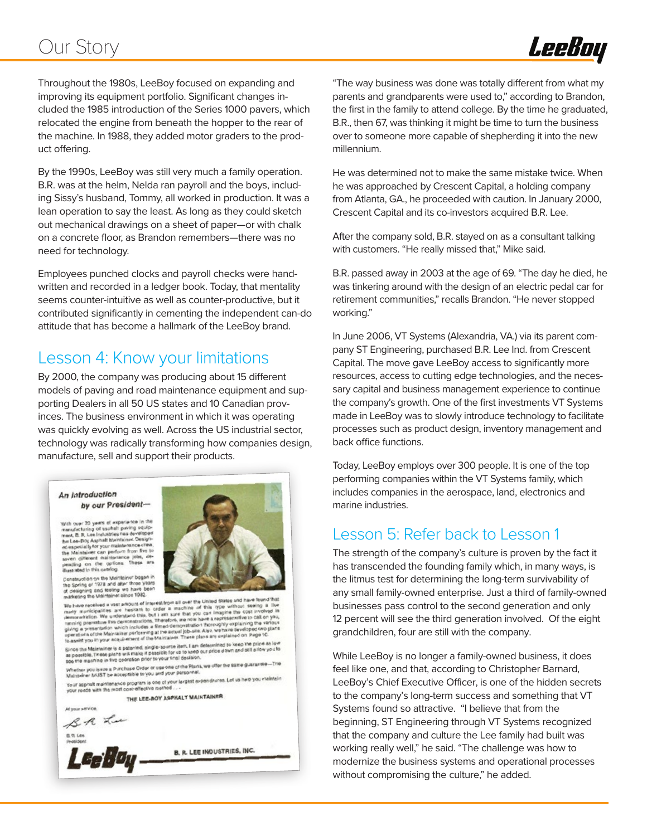# Our Story



Throughout the 1980s, LeeBoy focused on expanding and improving its equipment portfolio. Significant changes included the 1985 introduction of the Series 1000 pavers, which relocated the engine from beneath the hopper to the rear of the machine. In 1988, they added motor graders to the product offering.

By the 1990s, LeeBoy was still very much a family operation. B.R. was at the helm, Nelda ran payroll and the boys, including Sissy's husband, Tommy, all worked in production. It was a lean operation to say the least. As long as they could sketch out mechanical drawings on a sheet of paper—or with chalk on a concrete floor, as Brandon remembers—there was no need for technology.

Employees punched clocks and payroll checks were handwritten and recorded in a ledger book. Today, that mentality seems counter-intuitive as well as counter-productive, but it contributed significantly in cementing the independent can-do attitude that has become a hallmark of the LeeBoy brand.

## Lesson 4: Know your limitations

By 2000, the company was producing about 15 different models of paving and road maintenance equipment and supporting Dealers in all 50 US states and 10 Canadian provinces. The business environment in which it was operating was quickly evolving as well. Across the US industrial sector, technology was radically transforming how companies design, manufacture, sell and support their products.



"The way business was done was totally different from what my parents and grandparents were used to," according to Brandon, the first in the family to attend college. By the time he graduated, B.R., then 67, was thinking it might be time to turn the business over to someone more capable of shepherding it into the new millennium.

He was determined not to make the same mistake twice. When he was approached by Crescent Capital, a holding company from Atlanta, GA., he proceeded with caution. In January 2000, Crescent Capital and its co-investors acquired B.R. Lee.

After the company sold, B.R. stayed on as a consultant talking with customers. "He really missed that," Mike said.

B.R. passed away in 2003 at the age of 69. "The day he died, he was tinkering around with the design of an electric pedal car for retirement communities," recalls Brandon. "He never stopped working."

In June 2006, VT Systems (Alexandria, VA.) via its parent company ST Engineering, purchased B.R. Lee Ind. from Crescent Capital. The move gave LeeBoy access to significantly more resources, access to cutting edge technologies, and the necessary capital and business management experience to continue the company's growth. One of the first investments VT Systems made in LeeBoy was to slowly introduce technology to facilitate processes such as product design, inventory management and back office functions.

Today, LeeBoy employs over 300 people. It is one of the top performing companies within the VT Systems family, which includes companies in the aerospace, land, electronics and marine industries.

#### Lesson 5: Refer back to Lesson 1

The strength of the company's culture is proven by the fact it has transcended the founding family which, in many ways, is the litmus test for determining the long-term survivability of any small family-owned enterprise. Just a third of family-owned businesses pass control to the second generation and only 12 percent will see the third generation involved. Of the eight grandchildren, four are still with the company.

While LeeBoy is no longer a family-owned business, it does feel like one, and that, according to Christopher Barnard, LeeBoy's Chief Executive Officer, is one of the hidden secrets to the company's long-term success and something that VT Systems found so attractive. "I believe that from the beginning, ST Engineering through VT Systems recognized that the company and culture the Lee family had built was working really well," he said. "The challenge was how to modernize the business systems and operational processes without compromising the culture," he added.